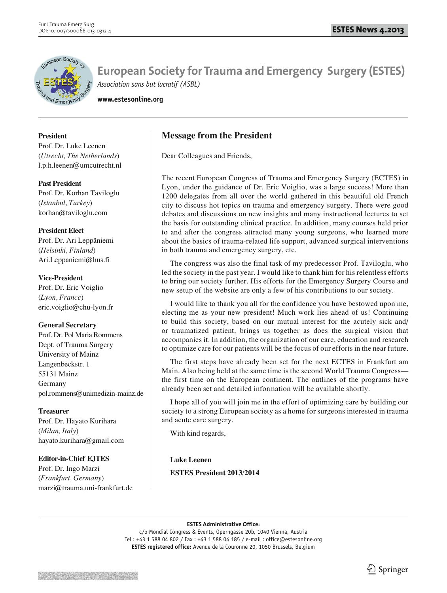

**www.estesonline.org**

### **President**

Prof. Dr. Luke Leenen (*Utrecht, The Netherlands*) l.p.h.leenen@umcutrecht.nl

### **Past President**

Prof. Dr. Korhan Taviloglu (*Istanbul, Turkey*) korhan@taviloglu.com

## **President Elect**

Prof. Dr. Ari Leppäniemi (*Helsinki, Finland*) Ari.Leppaniemi@hus.fi

### **Vice-President**

Prof. Dr. Eric Voiglio (*Lyon, France*) eric.voiglio@chu-lyon.fr

## **General Secretary**

Prof. Dr. Pol Maria Rommens Dept. of Trauma Surgery University of Mainz Langenbeckstr. 1 55131 Mainz Germany pol.rommens@unimedizin-mainz.de

## **Treasurer**

Prof. Dr. Hayato Kurihara (*Milan, Italy*) hayato.kurihara@gmail.com

## **Editor-in-Chief EJTES**

Prof. Dr. Ingo Marzi (*Frankfurt, Germany*) marzi@trauma.uni-frankfurt.de

# **Message from the President**

Dear Colleagues and Friends,

The recent European Congress of Trauma and Emergency Surgery (ECTES) in Lyon, under the guidance of Dr. Eric Voiglio, was a large success! More than 1200 delegates from all over the world gathered in this beautiful old French city to discuss hot topics on trauma and emergency surgery. There were good debates and discussions on new insights and many instructional lectures to set the basis for outstanding clinical practice. In addition, many courses held prior to and after the congress attracted many young surgeons, who learned more about the basics of trauma-related life support, advanced surgical interventions in both trauma and emergency surgery, etc.

The congress was also the final task of my predecessor Prof. Taviloglu, who led the society in the past year. I would like to thank him for his relentless efforts to bring our society further. His efforts for the Emergency Surgery Course and new setup of the website are only a few of his contributions to our society.

I would like to thank you all for the confidence you have bestowed upon me, electing me as your new president! Much work lies ahead of us! Continuing to build this society, based on our mutual interest for the acutely sick and/ or traumatized patient, brings us together as does the surgical vision that accompanies it. In addition, the organization of our care, education and research to optimize care for our patients will be the focus of our efforts in the near future.

The first steps have already been set for the next ECTES in Frankfurt am Main. Also being held at the same time is the second World Trauma Congress the first time on the European continent. The outlines of the programs have already been set and detailed information will be available shortly.

I hope all of you will join me in the effort of optimizing care by building our society to a strong European society as a home for surgeons interested in trauma and acute care surgery.

With kind regards,

## **Luke Leenen**

**ESTES President 2013/2014**

#### **ESTES Administrative Office:**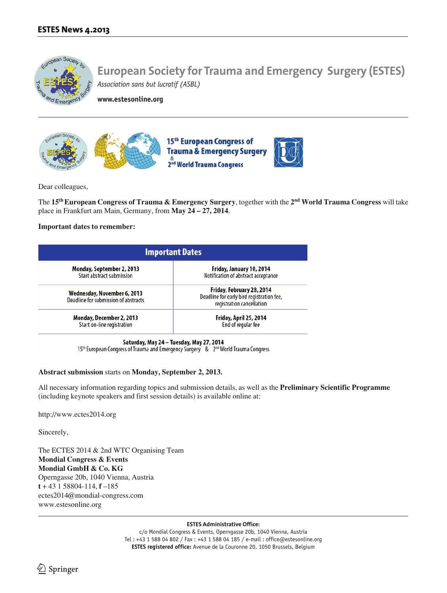

**www.estesonline.org**



Dear colleagues,

The **15th European Congress of Trauma & Emergency Surgery**, together with the **2nd World Trauma Congress** will take place in Frankfurt am Main, Germany, from **May 24 – 27, 2014**.

#### **Important dates to remember:**

| <b>Important Dates</b>                                              |                                                                                                                                                                        |  |
|---------------------------------------------------------------------|------------------------------------------------------------------------------------------------------------------------------------------------------------------------|--|
| Monday, September 2, 2013<br>Start abstract submission              | Friday, January 10, 2014<br>Notification of abstract acceptance<br>Friday, February 28, 2014<br>Deadline for early bird registration fee,<br>registration cancellation |  |
| Wednesday, November 6, 2013<br>Deadline for submission of abstracts |                                                                                                                                                                        |  |
| Monday, December 2, 2013<br>Start on-line registration              | Friday, April 25, 2014<br>End of regular fee                                                                                                                           |  |

Saturday, May 24 - Tuesday, May 27, 2014

15th European Congress of Trauma and Emergency Surgery & 2nd World Trauma Congress

#### **Abstract submission** starts on **Monday, September 2, 2013.**

All necessary information regarding topics and submission details, as well as the **Preliminary Scientific Programme** (including keynote speakers and first session details) is available online at:

http://www.ectes2014.org

Sincerely,

The ECTES 2014 & 2nd WTC Organising Team **Mondial Congress & Events Mondial GmbH & Co. KG** Operngasse 20b, 1040 Vienna, Austria **t** + 43 1 58804-114, **f** –185 ectes2014@mondial-congress.com www.estesonline.org

#### **ESTES Administrative Office:**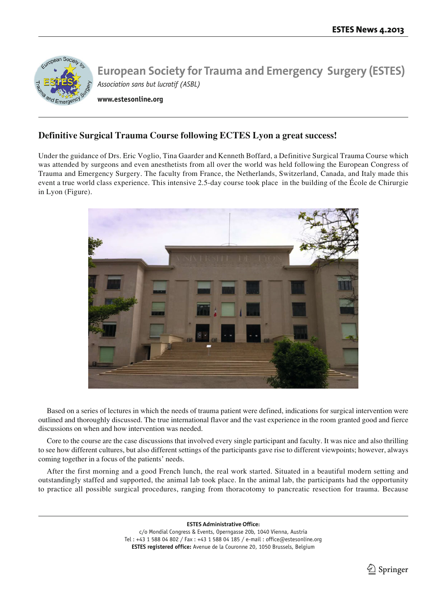

**www.estesonline.org**

# **Definitive Surgical Trauma Course following ECTES Lyon a great success!**

Under the guidance of Drs. Eric Voglio, Tina Gaarder and Kenneth Boffard, a Definitive Surgical Trauma Course which was attended by surgeons and even anesthetists from all over the world was held following the European Congress of Trauma and Emergency Surgery. The faculty from France, the Netherlands, Switzerland, Canada, and Italy made this event a true world class experience. This intensive 2.5-day course took place in the building of the École de Chirurgie in Lyon (Figure).



Based on a series of lectures in which the needs of trauma patient were defined, indications for surgical intervention were outlined and thoroughly discussed. The true international flavor and the vast experience in the room granted good and fierce discussions on when and how intervention was needed.

Core to the course are the case discussions that involved every single participant and faculty. It was nice and also thrilling to see how different cultures, but also different settings of the participants gave rise to different viewpoints; however, always coming together in a focus of the patients' needs.

After the first morning and a good French lunch, the real work started. Situated in a beautiful modern setting and outstandingly staffed and supported, the animal lab took place. In the animal lab, the participants had the opportunity to practice all possible surgical procedures, ranging from thoracotomy to pancreatic resection for trauma. Because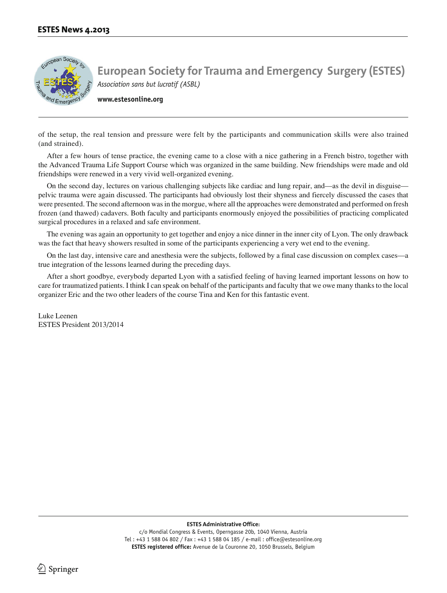

**www.estesonline.org**

of the setup, the real tension and pressure were felt by the participants and communication skills were also trained (and strained).

After a few hours of tense practice, the evening came to a close with a nice gathering in a French bistro, together with the Advanced Trauma Life Support Course which was organized in the same building. New friendships were made and old friendships were renewed in a very vivid well-organized evening.

On the second day, lectures on various challenging subjects like cardiac and lung repair, and—as the devil in disguise pelvic trauma were again discussed. The participants had obviously lost their shyness and fiercely discussed the cases that were presented. The second afternoon was in the morgue, where all the approaches were demonstrated and performed on fresh frozen (and thawed) cadavers. Both faculty and participants enormously enjoyed the possibilities of practicing complicated surgical procedures in a relaxed and safe environment.

The evening was again an opportunity to get together and enjoy a nice dinner in the inner city of Lyon. The only drawback was the fact that heavy showers resulted in some of the participants experiencing a very wet end to the evening.

On the last day, intensive care and anesthesia were the subjects, followed by a final case discussion on complex cases—a true integration of the lessons learned during the preceding days.

After a short goodbye, everybody departed Lyon with a satisfied feeling of having learned important lessons on how to care for traumatized patients. I think I can speak on behalf of the participants and faculty that we owe many thanks to the local organizer Eric and the two other leaders of the course Tina and Ken for this fantastic event.

Luke Leenen ESTES President 2013/2014

**ESTES Administrative Office:**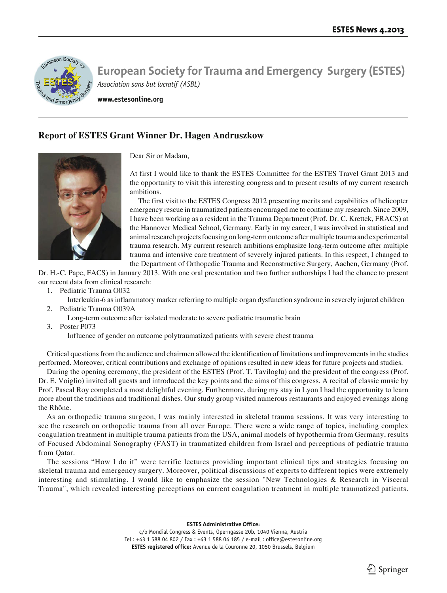

**www.estesonline.org**

# **Report of ESTES Grant Winner Dr. Hagen Andruszkow**



Dear Sir or Madam,

At first I would like to thank the ESTES Committee for the ESTES Travel Grant 2013 and the opportunity to visit this interesting congress and to present results of my current research ambitions.

The first visit to the ESTES Congress 2012 presenting merits and capabilities of helicopter emergency rescue in traumatized patients encouraged me to continue my research. Since 2009, I have been working as a resident in the Trauma Department (Prof. Dr. C. Krettek, FRACS) at the Hannover Medical School, Germany. Early in my career, I was involved in statistical and animal research projects focusing on long-term outcome after multiple trauma and experimental trauma research. My current research ambitions emphasize long-term outcome after multiple trauma and intensive care treatment of severely injured patients. In this respect, I changed to the Department of Orthopedic Trauma and Reconstructive Surgery, Aachen, Germany (Prof.

Dr. H.-C. Pape, FACS) in January 2013. With one oral presentation and two further authorships I had the chance to present our recent data from clinical research:

- 1. Pediatric Trauma O032
	- Interleukin-6 as inflammatory marker referring to multiple organ dysfunction syndrome in severely injured children
- 2. Pediatric Trauma O039A
	- Long-term outcome after isolated moderate to severe pediatric traumatic brain
- 3. Poster P073

Influence of gender on outcome polytraumatized patients with severe chest trauma

Critical questions from the audience and chairmen allowed the identification of limitations and improvements in the studies performed. Moreover, critical contributions and exchange of opinions resulted in new ideas for future projects and studies.

During the opening ceremony, the president of the ESTES (Prof. T. Taviloglu) and the president of the congress (Prof. Dr. E. Voiglio) invited all guests and introduced the key points and the aims of this congress. A recital of classic music by Prof. Pascal Roy completed a most delightful evening. Furthermore, during my stay in Lyon I had the opportunity to learn more about the traditions and traditional dishes. Our study group visited numerous restaurants and enjoyed evenings along the Rhône.

As an orthopedic trauma surgeon, I was mainly interested in skeletal trauma sessions. It was very interesting to see the research on orthopedic trauma from all over Europe. There were a wide range of topics, including complex coagulation treatment in multiple trauma patients from the USA, animal models of hypothermia from Germany, results of Focused Abdominal Sonography (FAST) in traumatized children from Israel and perceptions of pediatric trauma from Qatar.

The sessions "How I do it" were terrific lectures providing important clinical tips and strategies focusing on skeletal trauma and emergency surgery. Moreover, political discussions of experts to different topics were extremely interesting and stimulating. I would like to emphasize the session "New Technologies & Research in Visceral Trauma", which revealed interesting perceptions on current coagulation treatment in multiple traumatized patients.

**ESTES Administrative Office:**

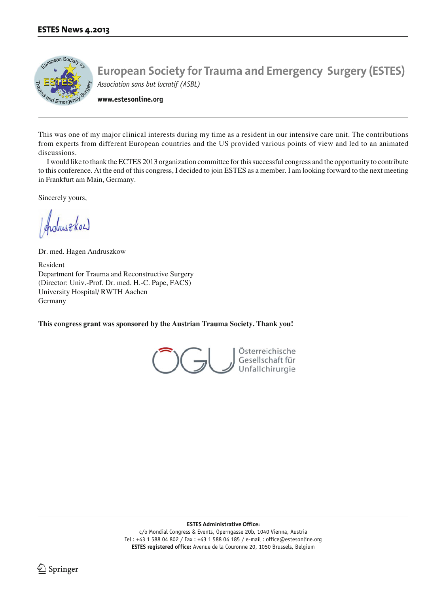

**www.estesonline.org**

This was one of my major clinical interests during my time as a resident in our intensive care unit. The contributions from experts from different European countries and the US provided various points of view and led to an animated discussions.

I would like to thank the ECTES 2013 organization committee for this successful congress and the opportunity to contribute to this conference. At the end of this congress, I decided to join ESTES as a member. I am looking forward to the next meeting in Frankfurt am Main, Germany.

Sincerely yours,

Industrial

Dr. med. Hagen Andruszkow

Resident Department for Trauma and Reconstructive Surgery (Director: Univ.-Prof. Dr. med. H.-C. Pape, FACS) University Hospital/ RWTH Aachen Germany

**This congress grant was sponsored by the Austrian Trauma Society. Thank you!**



**ESTES Administrative Office:**

c/o Mondial Congress & Events, Operngasse 20b, 1040 Vienna, Austria Tel : +43 1 588 04 802 / Fax : +43 1 588 04 185 / e-mail : office@estesonline.org **ESTES registered office:** Avenue de la Couronne 20, 1050 Brussels, Belgium

 $\lrcorner$  Springer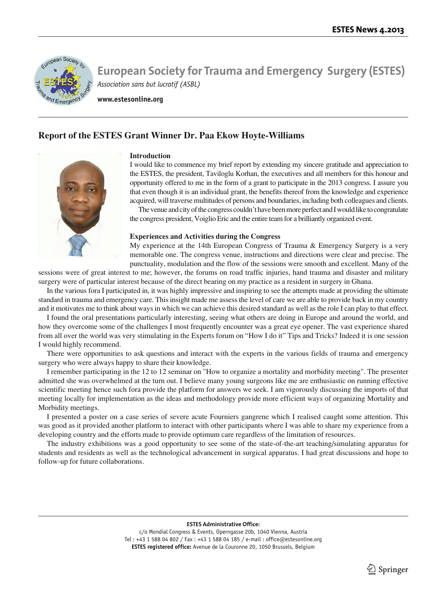

**www.estesonline.org**

## **Report of the ESTES Grant Winner Dr. Paa Ekow Hoyte-Williams**



### **Introduction**

I would like to commence my brief report by extending my sincere gratitude and appreciation to the ESTES, the president, Taviloglu Korhan, the executives and all members for this honour and opportunity offered to me in the form of a grant to participate in the 2013 congress. I assure you that even though it is an individual grant, the benefits thereof from the knowledge and experience acquired, will traverse multitudes of persons and boundaries, including both colleagues and clients.

The venue and city of the congress couldn't have been more perfect and I would like to congratulate the congress president, Voiglio Eric and the entire team for a brilliantly organized event.

#### **Experiences and Activities during the Congress**

My experience at the 14th European Congress of Trauma & Emergency Surgery is a very memorable one. The congress venue, instructions and directions were clear and precise. The punctuality, modulation and the flow of the sessions were smooth and excellent. Many of the

sessions were of great interest to me; however, the forums on road traffic injuries, hand trauma and disaster and military surgery were of particular interest because of the direct bearing on my practice as a resident in surgery in Ghana.

In the various fora I participated in, it was highly impressive and inspiring to see the attempts made at providing the ultimate standard in trauma and emergency care. This insight made me assess the level of care we are able to provide back in my country and it motivates me to think about ways in which we can achieve this desired standard as well as the role I can play to that effect.

I found the oral presentations particularly interesting, seeing what others are doing in Europe and around the world, and how they overcome some of the challenges I most frequently encounter was a great eye opener. The vast experience shared from all over the world was very stimulating in the Experts forum on "How I do it" Tips and Tricks? Indeed it is one session I would highly recommend.

There were opportunities to ask questions and interact with the experts in the various fields of trauma and emergency surgery who were always happy to share their knowledge.

I remember participating in the 12 to 12 seminar on "How to organize a mortality and morbidity meeting". The presenter admitted she was overwhelmed at the turn out. I believe many young surgeons like me are enthusiastic on running effective scientific meeting hence such fora provide the platform for answers we seek. I am vigorously discussing the imports of that meeting locally for implementation as the ideas and methodology provide more efficient ways of organizing Mortality and Morbidity meetings.

I presented a poster on a case series of severe acute Fourniers gangrene which I realised caught some attention. This was good as it provided another platform to interact with other participants where I was able to share my experience from a developing country and the efforts made to provide optimum care regardless of the limitation of resources.

The industry exhibitions was a good opportunity to see some of the state-of-the-art teaching/simulating apparatus for students and residents as well as the technological advancement in surgical apparatus. I had great discussions and hope to follow-up for future collaborations.

#### **ESTES Administrative Office:**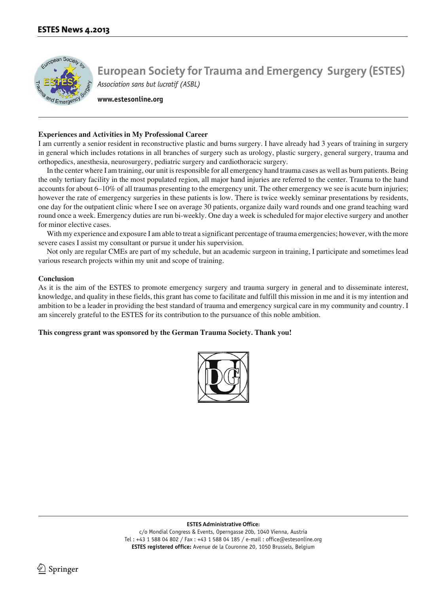

**www.estesonline.org**

#### **Experiences and Activities in My Professional Career**

I am currently a senior resident in reconstructive plastic and burns surgery. I have already had 3 years of training in surgery in general which includes rotations in all branches of surgery such as urology, plastic surgery, general surgery, trauma and orthopedics, anesthesia, neurosurgery, pediatric surgery and cardiothoracic surgery.

In the center where I am training, our unit is responsible for all emergency hand trauma cases as well as burn patients. Being the only tertiary facility in the most populated region, all major hand injuries are referred to the center. Trauma to the hand accounts for about 6–10% of all traumas presenting to the emergency unit. The other emergency we see is acute burn injuries; however the rate of emergency surgeries in these patients is low. There is twice weekly seminar presentations by residents, one day for the outpatient clinic where I see on average 30 patients, organize daily ward rounds and one grand teaching ward round once a week. Emergency duties are run bi-weekly. One day a week is scheduled for major elective surgery and another for minor elective cases.

With my experience and exposure I am able to treat a significant percentage of trauma emergencies; however, with the more severe cases I assist my consultant or pursue it under his supervision.

Not only are regular CMEs are part of my schedule, but an academic surgeon in training, I participate and sometimes lead various research projects within my unit and scope of training.

#### **Conclusion**

As it is the aim of the ESTES to promote emergency surgery and trauma surgery in general and to disseminate interest, knowledge, and quality in these fields, this grant has come to facilitate and fulfill this mission in me and it is my intention and ambition to be a leader in providing the best standard of trauma and emergency surgical care in my community and country. I am sincerely grateful to the ESTES for its contribution to the pursuance of this noble ambition.

### **This congress grant was sponsored by the German Trauma Society. Thank you!**



**ESTES Administrative Office:**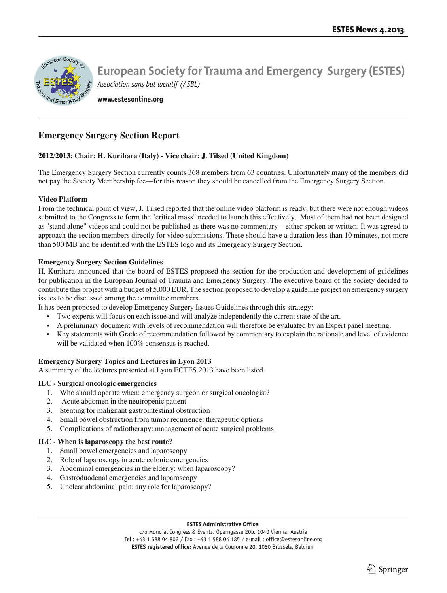

**www.estesonline.org**

# **Emergency Surgery Section Report**

### **2012/2013: Chair: H. Kurihara (Italy) - Vice chair: J. Tilsed (United Kingdom)**

The Emergency Surgery Section currently counts 368 members from 63 countries. Unfortunately many of the members did not pay the Society Membership fee—for this reason they should be cancelled from the Emergency Surgery Section.

#### **Video Platform**

From the technical point of view, J. Tilsed reported that the online video platform is ready, but there were not enough videos submitted to the Congress to form the "critical mass" needed to launch this effectively. Most of them had not been designed as "stand alone" videos and could not be published as there was no commentary—either spoken or written. It was agreed to approach the section members directly for video submissions. These should have a duration less than 10 minutes, not more than 500 MB and be identified with the ESTES logo and its Emergency Surgery Section.

#### **Emergency Surgery Section Guidelines**

H. Kurihara announced that the board of ESTES proposed the section for the production and development of guidelines for publication in the European Journal of Trauma and Emergency Surgery. The executive board of the society decided to contribute this project with a budget of 5,000 EUR. The section proposed to develop a guideline project on emergency surgery issues to be discussed among the committee members.

It has been proposed to develop Emergency Surgery Issues Guidelines through this strategy:

- Two experts will focus on each issue and will analyze independently the current state of the art.
- A preliminary document with levels of recommendation will therefore be evaluated by an Expert panel meeting.
- Key statements with Grade of recommendation followed by commentary to explain the rationale and level of evidence will be validated when 100% consensus is reached.

### **Emergency Surgery Topics and Lectures in Lyon 2013**

A summary of the lectures presented at Lyon ECTES 2013 have been listed.

### **ILC - Surgical oncologic emergencies**

- 1. Who should operate when: emergency surgeon or surgical oncologist?
- 2. Acute abdomen in the neutropenic patient
- 3. Stenting for malignant gastrointestinal obstruction
- 4. Small bowel obstruction from tumor recurrence: therapeutic options
- 5. Complications of radiotherapy: management of acute surgical problems

### **ILC - When is laparoscopy the best route?**

- 1. Small bowel emergencies and laparoscopy
- 2. Role of laparoscopy in acute colonic emergencies
- 3. Abdominal emergencies in the elderly: when laparoscopy?
- 4. Gastroduodenal emergencies and laparoscopy
- 5. Unclear abdominal pain: any role for laparoscopy?

#### **ESTES Administrative Office:**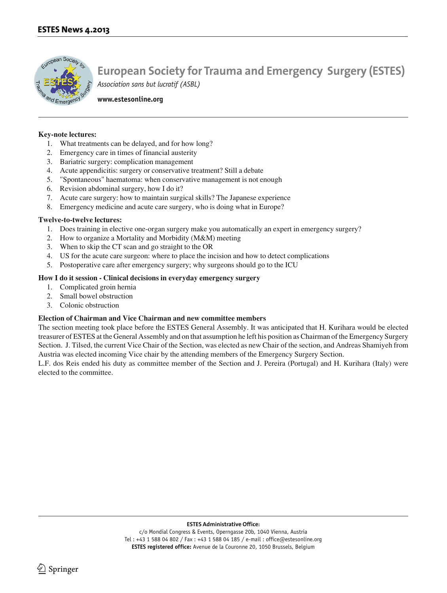

**www.estesonline.org**

#### **Key-note lectures:**

- 1. What treatments can be delayed, and for how long?
- 2. Emergency care in times of financial austerity
- 3. Bariatric surgery: complication management
- 4. Acute appendicitis: surgery or conservative treatment? Still a debate
- 5. "Spontaneous" haematoma: when conservative management is not enough
- 6. Revision abdominal surgery, how I do it?
- 7. Acute care surgery: how to maintain surgical skills? The Japanese experience
- 8. Emergency medicine and acute care surgery, who is doing what in Europe?

#### **Twelve-to-twelve lectures:**

- 1. Does training in elective one-organ surgery make you automatically an expert in emergency surgery?
- 2. How to organize a Mortality and Morbidity (M&M) meeting
- 3. When to skip the CT scan and go straight to the OR
- 4. US for the acute care surgeon: where to place the incision and how to detect complications
- 5. Postoperative care after emergency surgery; why surgeons should go to the ICU

#### **How I do it session - Clinical decisions in everyday emergency surgery**

- 1. Complicated groin hernia
- 2. Small bowel obstruction
- 3. Colonic obstruction

#### **Election of Chairman and Vice Chairman and new committee members**

The section meeting took place before the ESTES General Assembly. It was anticipated that H. Kurihara would be elected treasurer of ESTES at the General Assembly and on that assumption he left his position as Chairman of the Emergency Surgery Section. J. Tilsed, the current Vice Chair of the Section, was elected as new Chair of the section, and Andreas Shamiyeh from Austria was elected incoming Vice chair by the attending members of the Emergency Surgery Section.

L.F. dos Reis ended his duty as committee member of the Section and J. Pereira (Portugal) and H. Kurihara (Italy) were elected to the committee.

**ESTES Administrative Office:**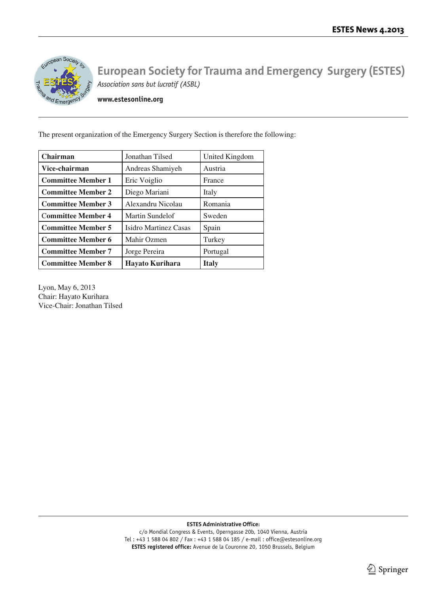

**www.estesonline.org**

The present organization of the Emergency Surgery Section is therefore the following:

| <b>Chairman</b>           | Jonathan Tilsed        | United Kingdom |
|---------------------------|------------------------|----------------|
| Vice-chairman             | Andreas Shamiyeh       | Austria        |
| <b>Committee Member 1</b> | Eric Voiglio           | France         |
| <b>Committee Member 2</b> | Diego Mariani          | Italy          |
| <b>Committee Member 3</b> | Alexandru Nicolau      | Romania        |
| <b>Committee Member 4</b> | <b>Martin Sundelof</b> | Sweden         |
| <b>Committee Member 5</b> | Isidro Martinez Casas  | Spain          |
| <b>Committee Member 6</b> | Mahir Ozmen            | Turkey         |
| <b>Committee Member 7</b> | Jorge Pereira          | Portugal       |
| <b>Committee Member 8</b> | Hayato Kurihara        | <b>Italy</b>   |

Lyon, May 6, 2013 Chair: Hayato Kurihara Vice-Chair: Jonathan Tilsed

**ESTES Administrative Office:**

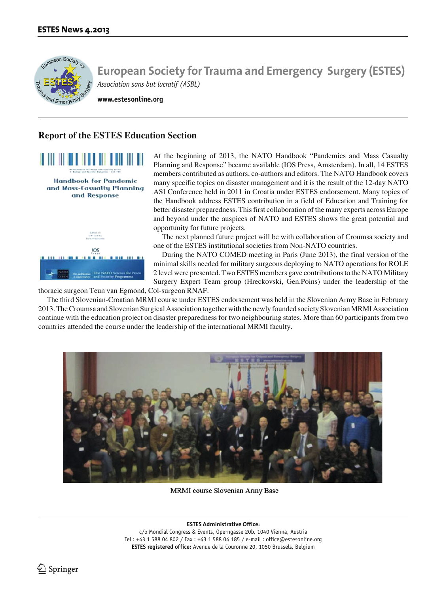

**www.estesonline.org**

## **Report of the ESTES Education Section**



At the beginning of 2013, the NATO Handbook "Pandemics and Mass Casualty Planning and Response" became available (IOS Press, Amsterdam). In all, 14 ESTES members contributed as authors, co-authors and editors. The NATO Handbook covers many specific topics on disaster management and it is the result of the 12-day NATO ASI Conference held in 2011 in Croatia under ESTES endorsement. Many topics of the Handbook address ESTES contribution in a field of Education and Training for better disaster preparedness. This first collaboration of the many experts across Europe and beyond under the auspices of NATO and ESTES shows the great potential and opportunity for future projects.

The next planned future project will be with collaboration of Croumsa society and one of the ESTES institutional societies from Non-NATO countries.

During the NATO COMED meeting in Paris (June 2013), the final version of the minimal skills needed for military surgeons deploying to NATO operations for ROLE 2 level were presented. Two ESTES members gave contributions to the NATO Military Surgery Expert Team group (Hreckovski, Gen.Poins) under the leadership of the

thoracic surgeon Teun van Egmond, Col-surgeon RNAF.

The third Slovenian-Croatian MRMI course under ESTES endorsement was held in the Slovenian Army Base in February 2013. The Croumsa and Slovenian Surgical Association together with the newly founded society Slovenian MRMI Association continue with the education project on disaster preparedness for two neighbouring states. More than 60 participants from two countries attended the course under the leadership of the international MRMI faculty.



**MRMI** course Slovenian Army Base

**ESTES Administrative Office:**

c/o Mondial Congress & Events, Operngasse 20b, 1040 Vienna, Austria Tel : +43 1 588 04 802 / Fax : +43 1 588 04 185 / e-mail : office@estesonline.org **ESTES registered office:** Avenue de la Couronne 20, 1050 Brussels, Belgium

 $\ln$  Springer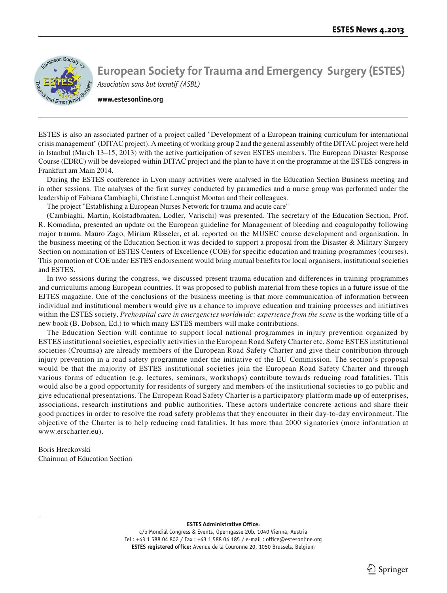

**www.estesonline.org**

ESTES is also an associated partner of a project called "Development of a European training curriculum for international crisis management" (DITAC project). A meeting of working group 2 and the general assembly of the DITAC project were held in Istanbul (March 13–15, 2013) with the active participation of seven ESTES members. The European Disaster Response Course (EDRC) will be developed within DITAC project and the plan to have it on the programme at the ESTES congress in Frankfurt am Main 2014.

During the ESTES conference in Lyon many activities were analysed in the Education Section Business meeting and in other sessions. The analyses of the first survey conducted by paramedics and a nurse group was performed under the leadership of Fabiana Cambiaghi, Christine Lennquist Montan and their colleagues.

The project "Establishing a European Nurses Network for trauma and acute care"

(Cambiaghi, Martin, Kolstadbraaten, Lodler, Varischi) was presented. The secretary of the Education Section, Prof. R. Komadina, presented an update on the European guideline for Management of bleeding and coagulopathy following major trauma. Mauro Zago, Miriam Rüsseler, et al. reported on the MUSEC course development and organisation. In the business meeting of the Education Section it was decided to support a proposal from the Disaster & Military Surgery Section on nomination of ESTES Centers of Excellence (COE) for specific education and training programmes (courses). This promotion of COE under ESTES endorsement would bring mutual benefits for local organisers, institutional societies and ESTES.

In two sessions during the congress, we discussed present trauma education and differences in training programmes and curriculums among European countries. It was proposed to publish material from these topics in a future issue of the EJTES magazine. One of the conclusions of the business meeting is that more communication of information between individual and institutional members would give us a chance to improve education and training processes and initiatives within the ESTES society. *Prehospital care in emergencies worldwide: experience from the scene* is the working title of a new book (B. Dobson, Ed.) to which many ESTES members will make contributions.

The Education Section will continue to support local national programmes in injury prevention organized by ESTES institutional societies, especially activities in the European Road Safety Charter etc. Some ESTES institutional societies (Croumsa) are already members of the European Road Safety Charter and give their contribution through injury prevention in a road safety programme under the initiative of the EU Commission. The section's proposal would be that the majority of ESTES institutional societies join the European Road Safety Charter and through various forms of education (e.g. lectures, seminars, workshops) contribute towards reducing road fatalities. This would also be a good opportunity for residents of surgery and members of the institutional societies to go public and give educational presentations. The European Road Safety Charter is a participatory platform made up of enterprises, associations, research institutions and public authorities. These actors undertake concrete actions and share their good practices in order to resolve the road safety problems that they encounter in their day-to-day environment. The objective of the Charter is to help reducing road fatalities. It has more than 2000 signatories (more information at www.erscharter.eu).

Boris Hreckovski Chairman of Education Section

#### **ESTES Administrative Office:**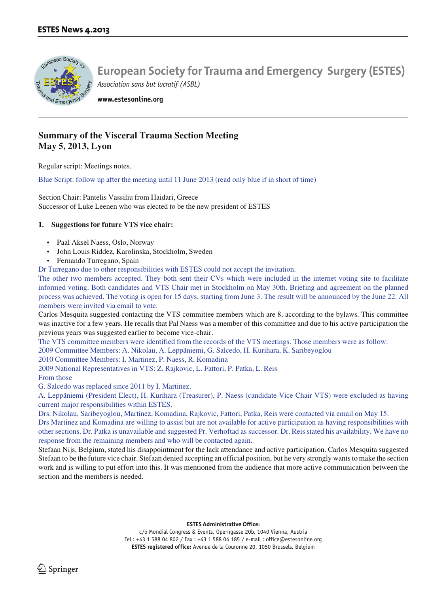

**www.estesonline.org**

# **Summary of the Visceral Trauma Section Meeting May 5, 2013, Lyon**

Regular script: Meetings notes.

Blue Script: follow up after the meeting until 11 June 2013 (read only blue if in short of time)

Section Chair: Pantelis Vassiliu from Haidari, Greece Successor of Luke Leenen who was elected to be the new president of ESTES

### **1. Suggestions for future VTS vice chair:**

- Paal Aksel Naess, Oslo, Norway
- John Louis Riddez, Karolinska, Stockholm, Sweden
- Fernando Turregano, Spain

Dr Turregano due to other responsibilities with ESTES could not accept the invitation.

The other two members accepted. They both sent their CVs which were included in the internet voting site to facilitate informed voting. Both candidates and VTS Chair met in Stockholm on May 30th. Briefing and agreement on the planned process was achieved. The voting is open for 15 days, starting from June 3. The result will be announced by the June 22. All members were invited via email to vote.

Carlos Mesquita suggested contacting the VTS committee members which are 8, according to the bylaws. This committee was inactive for a few years. He recalls that Pal Naess was a member of this committee and due to his active participation the previous years was suggested earlier to become vice-chair.

The VTS committee members were identified from the records of the VTS meetings. Those members were as follow:

2009 Committee Members: A. Nikolau, A. Leppäniemi, G. Salcedo, H. Kurihara, K. Saribeyoglou

2010 Committee Members: I. Martinez, P. Naess, R. Komadina

2009 National Representatives in VTS: Z. Rajkovic, L. Fattori, P. Patka, L. Reis

### From those

G. Salcedo was replaced since 2011 by I. Martinez.

A. Leppäniemi (President Elect), H. Kurihara (Treasurer), P. Naess (candidate Vice Chair VTS) were excluded as having current major responsibilities within ESTES.

Drs. Nikolau, Saribeyoglou, Martinez, Komadina, Rajkovic, Fattori, Patka, Reis were contacted via email on May 15.

Drs Martinez and Komadina are willing to assist but are not available for active participation as having responsibilities with other sections. Dr. Patka is unavailable and suggested Pr. Verhoftad as successor. Dr. Reis stated his availability. We have no response from the remaining members and who will be contacted again.

Stefaan Nijs, Belgium, stated his disappointment for the lack attendance and active participation. Carlos Mesquita suggested Stefaan to be the future vice chair. Stefaan denied accepting an official position, but he very strongly wants to make the section work and is willing to put effort into this. It was mentioned from the audience that more active communication between the section and the members is needed.

**ESTES Administrative Office:**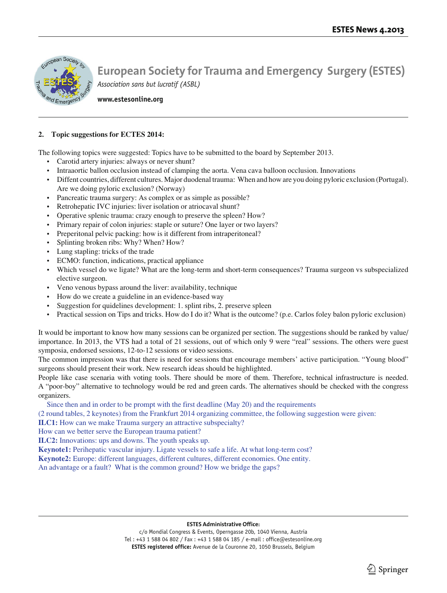

**www.estesonline.org**

#### **2. Topic suggestions for ECTES 2014:**

The following topics were suggested: Topics have to be submitted to the board by September 2013.

- Carotid artery injuries: always or never shunt?
- Intraaortic ballon occlusion instead of clamping the aorta. Vena cava balloon occlusion. Innovations
- Diffent countries, different cultures. Major duodenal trauma: When and how are you doing pyloric exclusion (Portugal). Are we doing pyloric exclusion? (Norway)
- Pancreatic trauma surgery: As complex or as simple as possible?
- Retrohepatic IVC injuries: liver isolation or atriocaval shunt?
- Operative splenic trauma: crazy enough to preserve the spleen? How?
- Primary repair of colon injuries: staple or suture? One layer or two layers?
- Preperitonal pelvic packing: how is it different from intraperitoneal?
- Splinting broken ribs: Why? When? How?
- Lung stapling: tricks of the trade
- ECMO: function, indications, practical appliance
- Which vessel do we ligate? What are the long-term and short-term consequences? Trauma surgeon vs subspecialized elective surgeon.
- Veno venous bypass around the liver: availability, technique
- How do we create a guideline in an evidence-based way
- Suggestion for quidelines development: 1. splint ribs, 2. preserve spleen
- Practical session on Tips and tricks. How do I do it? What is the outcome? (p.e. Carlos foley balon pyloric exclusion)

It would be important to know how many sessions can be organized per section. The suggestions should be ranked by value/ importance. In 2013, the VTS had a total of 21 sessions, out of which only 9 were "real" sessions. The others were guest symposia, endorsed sessions, 12-to-12 sessions or video sessions.

The common impression was that there is need for sessions that encourage members' active participation. "Young blood" surgeons should present their work. New research ideas should be highlighted.

People like case scenaria with voting tools. There should be more of them. Therefore, technical infrastructure is needed. A "poor-boy" alternative to technology would be red and green cards. The alternatives should be checked with the congress organizers.

Since then and in order to be prompt with the first deadline (May 20) and the requirements

(2 round tables, 2 keynotes) from the Frankfurt 2014 organizing committee, the following suggestion were given:

**ILC1:** How can we make Trauma surgery an attractive subspecialty?

How can we better serve the European trauma patient?

**ILC2:** Innovations: ups and downs. The youth speaks up.

**Keynote1:** Perihepatic vascular injury. Ligate vessels to safe a life. At what long-term cost?

**Keynote2:** Europe: different languages, different cultures, different economies. One entity.

An advantage or a fault? What is the common ground? How we bridge the gaps?

#### **ESTES Administrative Office:**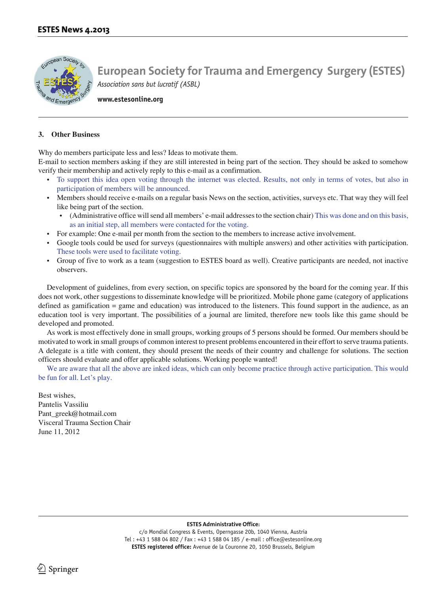

**www.estesonline.org**

#### **3. Other Business**

Why do members participate less and less? Ideas to motivate them.

E-mail to section members asking if they are still interested in being part of the section. They should be asked to somehow verify their membership and actively reply to this e-mail as a confirmation.

- To support this idea open voting through the internet was elected. Results, not only in terms of votes, but also in participation of members will be announced.
- Members should receive e-mails on a regular basis News on the section, activities, surveys etc. That way they will feel like being part of the section.
	- (Administrative office will send all members' e-mail addresses to the section chair) This was done and on this basis, as an initial step, all members were contacted for the voting.
- For example: One e-mail per month from the section to the members to increase active involvement.
- Google tools could be used for surveys (questionnaires with multiple answers) and other activities with participation. These tools were used to facilitate voting.
- Group of five to work as a team (suggestion to ESTES board as well). Creative participants are needed, not inactive observers.

Development of guidelines, from every section, on specific topics are sponsored by the board for the coming year. If this does not work, other suggestions to disseminate knowledge will be prioritized. Mobile phone game (category of applications defined as gamification = game and education) was introduced to the listeners. This found support in the audience, as an education tool is very important. The possibilities of a journal are limited, therefore new tools like this game should be developed and promoted.

As work is most effectively done in small groups, working groups of 5 persons should be formed. Our members should be motivated to work in small groups of common interest to present problems encountered in their effort to serve trauma patients. A delegate is a title with content, they should present the needs of their country and challenge for solutions. The section officers should evaluate and offer applicable solutions. Working people wanted!

We are aware that all the above are inked ideas, which can only become practice through active participation. This would be fun for all. Let's play.

Best wishes, Pantelis Vassiliu Pant\_greek@hotmail.com Visceral Trauma Section Chair June 11, 2012

**ESTES Administrative Office:**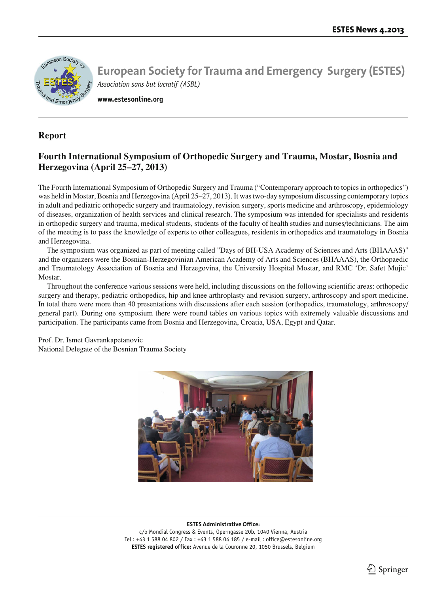

**www.estesonline.org**

## **Report**

# **Fourth International Symposium of Orthopedic Surgery and Trauma, Mostar, Bosnia and Herzegovina (April 25–27, 2013)**

The Fourth International Symposium of Orthopedic Surgery and Trauma ("Contemporary approach to topics in orthopedics") was held in Mostar, Bosnia and Herzegovina (April 25–27, 2013). It was two-day symposium discussing contemporary topics in adult and pediatric orthopedic surgery and traumatology, revision surgery, sports medicine and arthroscopy, epidemiology of diseases, organization of health services and clinical research. The symposium was intended for specialists and residents in orthopedic surgery and trauma, medical students, students of the faculty of health studies and nurses/technicians. The aim of the meeting is to pass the knowledge of experts to other colleagues, residents in orthopedics and traumatology in Bosnia and Herzegovina.

The symposium was organized as part of meeting called "Days of BH-USA Academy of Sciences and Arts (BHAAAS)" and the organizers were the Bosnian-Herzegovinian American Academy of Arts and Sciences (BHAAAS), the Orthopaedic and Traumatology Association of Bosnia and Herzegovina, the University Hospital Mostar, and RMC 'Dr. Safet Mujic' Mostar.

Throughout the conference various sessions were held, including discussions on the following scientific areas: orthopedic surgery and therapy, pediatric orthopedics, hip and knee arthroplasty and revision surgery, arthroscopy and sport medicine. In total there were more than 40 presentations with discussions after each session (orthopedics, traumatology, arthroscopy/ general part). During one symposium there were round tables on various topics with extremely valuable discussions and participation. The participants came from Bosnia and Herzegovina, Croatia, USA, Egypt and Qatar.

Prof. Dr. Ismet Gavrankapetanovic National Delegate of the Bosnian Trauma Society



#### **ESTES Administrative Office:**